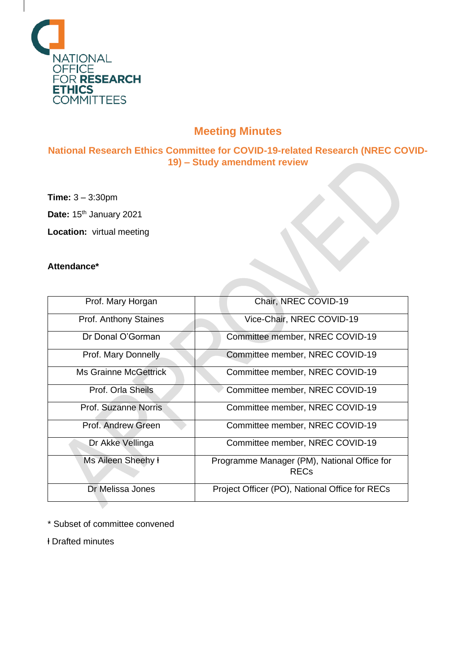

# **Meeting Minutes**

**National Research Ethics Committee for COVID-19-related Research (NREC COVID-19) – Study amendment review**

**Time:** 3 – 3:30pm

**Date: 15th January 2021** 

**Location:** virtual meeting

## **Attendance\***

| Prof. Mary Horgan            | Chair, NREC COVID-19                           |
|------------------------------|------------------------------------------------|
| Prof. Anthony Staines        | Vice-Chair, NREC COVID-19                      |
| Dr Donal O'Gorman            | Committee member, NREC COVID-19                |
| Prof. Mary Donnelly          | Committee member, NREC COVID-19                |
| <b>Ms Grainne McGettrick</b> | Committee member, NREC COVID-19                |
| Prof. Orla Sheils            | Committee member, NREC COVID-19                |
| Prof. Suzanne Norris         | Committee member, NREC COVID-19                |
| Prof. Andrew Green           | Committee member, NREC COVID-19                |
| Dr Akke Vellinga             | Committee member, NREC COVID-19                |
| Ms Aileen Sheehy ł           | Programme Manager (PM), National Office for    |
|                              | <b>REC<sub>s</sub></b>                         |
| Dr Melissa Jones             | Project Officer (PO), National Office for RECs |

\* Subset of committee convened

ⱡ Drafted minutes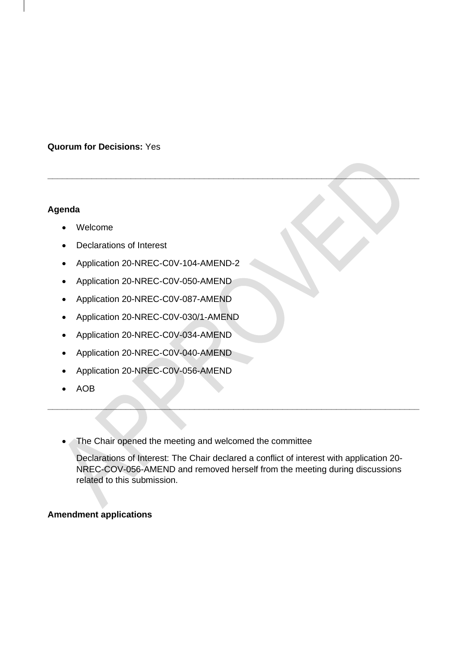## **Quorum for Decisions:** Yes

### **Agenda**

- Welcome
- Declarations of Interest
- Application 20-NREC-C0V-104-AMEND-2
- Application 20-NREC-C0V-050-AMEND
- Application 20-NREC-C0V-087-AMEND
- Application 20-NREC-C0V-030/1-AMEND
- Application 20-NREC-C0V-034-AMEND
- Application 20-NREC-C0V-040-AMEND
- Application 20-NREC-C0V-056-AMEND
- AOB
- The Chair opened the meeting and welcomed the committee

Declarations of Interest: The Chair declared a conflict of interest with application 20- NREC-COV-056-AMEND and removed herself from the meeting during discussions related to this submission.

**\_\_\_\_\_\_\_\_\_\_\_\_\_\_\_\_\_\_\_\_\_\_\_\_\_\_\_\_\_\_\_\_\_\_\_\_\_\_\_\_\_\_\_\_\_\_\_\_\_\_\_\_\_\_\_\_\_\_\_\_\_\_\_\_\_\_\_\_\_\_\_\_\_\_\_\_**

**\_\_\_\_\_\_\_\_\_\_\_\_\_\_\_\_\_\_\_\_\_\_\_\_\_\_\_\_\_\_\_\_\_\_\_\_\_\_\_\_\_\_\_\_\_\_\_\_\_\_\_\_\_\_\_\_\_\_\_\_\_\_\_\_\_\_\_\_\_\_\_\_\_\_\_\_**

### **Amendment applications**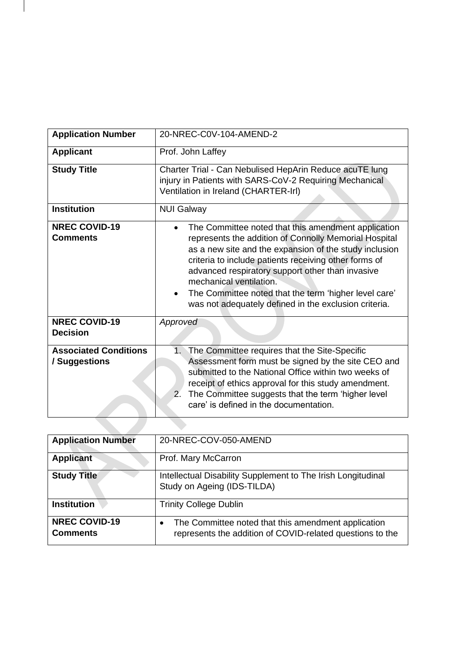| <b>Application Number</b>                     | 20-NREC-C0V-104-AMEND-2                                                                                                                                                                                                                                                                                                                                                                                                          |
|-----------------------------------------------|----------------------------------------------------------------------------------------------------------------------------------------------------------------------------------------------------------------------------------------------------------------------------------------------------------------------------------------------------------------------------------------------------------------------------------|
| <b>Applicant</b>                              | Prof. John Laffey                                                                                                                                                                                                                                                                                                                                                                                                                |
| <b>Study Title</b>                            | Charter Trial - Can Nebulised HepArin Reduce acuTE lung<br>injury in Patients with SARS-CoV-2 Requiring Mechanical<br>Ventilation in Ireland (CHARTER-Irl)                                                                                                                                                                                                                                                                       |
| <b>Institution</b>                            | <b>NUI Galway</b>                                                                                                                                                                                                                                                                                                                                                                                                                |
| <b>NREC COVID-19</b><br><b>Comments</b>       | The Committee noted that this amendment application<br>represents the addition of Connolly Memorial Hospital<br>as a new site and the expansion of the study inclusion<br>criteria to include patients receiving other forms of<br>advanced respiratory support other than invasive<br>mechanical ventilation.<br>The Committee noted that the term 'higher level care'<br>was not adequately defined in the exclusion criteria. |
| <b>NREC COVID-19</b><br><b>Decision</b>       | Approved                                                                                                                                                                                                                                                                                                                                                                                                                         |
| <b>Associated Conditions</b><br>/ Suggestions | The Committee requires that the Site-Specific<br>1.<br>Assessment form must be signed by the site CEO and<br>submitted to the National Office within two weeks of<br>receipt of ethics approval for this study amendment.<br>$2^{2}$<br>The Committee suggests that the term 'higher level<br>care' is defined in the documentation.                                                                                             |
|                                               |                                                                                                                                                                                                                                                                                                                                                                                                                                  |

| <b>Application Number</b>               | 20-NREC-COV-050-AMEND                                                                                            |
|-----------------------------------------|------------------------------------------------------------------------------------------------------------------|
| <b>Applicant</b>                        | Prof. Mary McCarron                                                                                              |
| <b>Study Title</b>                      | Intellectual Disability Supplement to The Irish Longitudinal<br>Study on Ageing (IDS-TILDA)                      |
| <b>Institution</b>                      | <b>Trinity College Dublin</b>                                                                                    |
| <b>NREC COVID-19</b><br><b>Comments</b> | The Committee noted that this amendment application<br>represents the addition of COVID-related questions to the |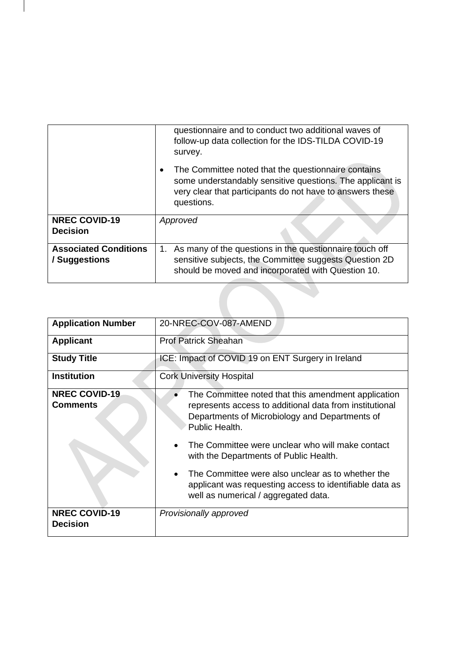|                                               | questionnaire and to conduct two additional waves of<br>follow-up data collection for the IDS-TILDA COVID-19<br>survey.                                                                     |
|-----------------------------------------------|---------------------------------------------------------------------------------------------------------------------------------------------------------------------------------------------|
|                                               | The Committee noted that the questionnaire contains<br>some understandably sensitive questions. The applicant is<br>very clear that participants do not have to answers these<br>questions. |
| <b>NREC COVID-19</b>                          | Approved                                                                                                                                                                                    |
| <b>Decision</b>                               |                                                                                                                                                                                             |
| <b>Associated Conditions</b><br>/ Suggestions | As many of the questions in the questionnaire touch off<br>1.<br>sensitive subjects, the Committee suggests Question 2D<br>should be moved and incorporated with Question 10.               |
|                                               |                                                                                                                                                                                             |
|                                               |                                                                                                                                                                                             |

| <b>Application Number</b>               | 20-NREC-COV-087-AMEND                                                                                                                                                              |
|-----------------------------------------|------------------------------------------------------------------------------------------------------------------------------------------------------------------------------------|
| <b>Applicant</b>                        | <b>Prof Patrick Sheahan</b>                                                                                                                                                        |
| <b>Study Title</b>                      | ICE: Impact of COVID 19 on ENT Surgery in Ireland                                                                                                                                  |
| <b>Institution</b>                      | <b>Cork University Hospital</b>                                                                                                                                                    |
| <b>NREC COVID-19</b><br><b>Comments</b> | The Committee noted that this amendment application<br>represents access to additional data from institutional<br>Departments of Microbiology and Departments of<br>Public Health. |
|                                         | The Committee were unclear who will make contact<br>with the Departments of Public Health.                                                                                         |
|                                         | The Committee were also unclear as to whether the<br>applicant was requesting access to identifiable data as<br>well as numerical / aggregated data.                               |
| <b>NREC COVID-19</b><br><b>Decision</b> | Provisionally approved                                                                                                                                                             |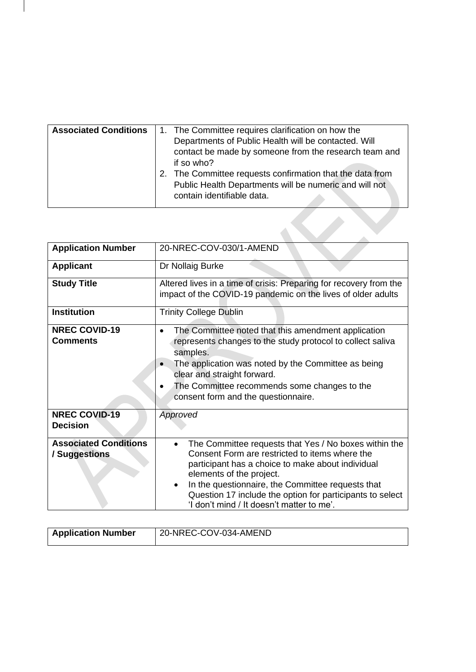| <b>Associated Conditions</b> | 1. The Committee requires clarification on how the                                   |
|------------------------------|--------------------------------------------------------------------------------------|
|                              |                                                                                      |
|                              | Departments of Public Health will be contacted. Will                                 |
|                              | contact be made by someone from the research team and                                |
|                              | if so who?                                                                           |
|                              | 2. The Committee requests confirmation that the data from                            |
|                              | Public Health Departments will be numeric and will not<br>contain identifiable data. |
|                              |                                                                                      |

| <b>Application Number</b>                     | 20-NREC-COV-030/1-AMEND                                                                                                                                                                                                                                                                                                                                                   |
|-----------------------------------------------|---------------------------------------------------------------------------------------------------------------------------------------------------------------------------------------------------------------------------------------------------------------------------------------------------------------------------------------------------------------------------|
| <b>Applicant</b>                              | Dr Nollaig Burke                                                                                                                                                                                                                                                                                                                                                          |
| <b>Study Title</b>                            | Altered lives in a time of crisis: Preparing for recovery from the<br>impact of the COVID-19 pandemic on the lives of older adults                                                                                                                                                                                                                                        |
| <b>Institution</b>                            | <b>Trinity College Dublin</b>                                                                                                                                                                                                                                                                                                                                             |
| <b>NREC COVID-19</b><br><b>Comments</b>       | The Committee noted that this amendment application<br>represents changes to the study protocol to collect saliva<br>samples.<br>The application was noted by the Committee as being<br>clear and straight forward.<br>The Committee recommends some changes to the<br>consent form and the questionnaire.                                                                |
| <b>NREC COVID-19</b><br><b>Decision</b>       | Approved                                                                                                                                                                                                                                                                                                                                                                  |
| <b>Associated Conditions</b><br>/ Suggestions | The Committee requests that Yes / No boxes within the<br>$\bullet$<br>Consent Form are restricted to items where the<br>participant has a choice to make about individual<br>elements of the project.<br>In the questionnaire, the Committee requests that<br>٠<br>Question 17 include the option for participants to select<br>'I don't mind / It doesn't matter to me'. |

| <b>Application Number</b> | 20-NREC-COV-034-AMEND |
|---------------------------|-----------------------|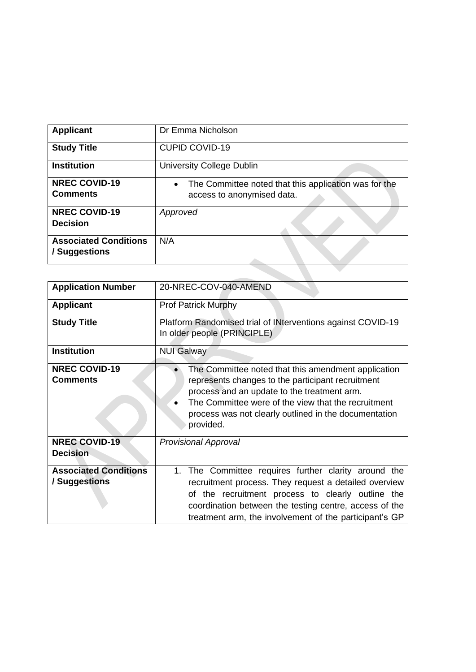| <b>Applicant</b>                              | Dr Emma Nicholson                                                                                |
|-----------------------------------------------|--------------------------------------------------------------------------------------------------|
| <b>Study Title</b>                            | <b>CUPID COVID-19</b>                                                                            |
| <b>Institution</b>                            | University College Dublin                                                                        |
| <b>NREC COVID-19</b><br><b>Comments</b>       | The Committee noted that this application was for the<br>$\bullet$<br>access to anonymised data. |
| <b>NREC COVID-19</b><br><b>Decision</b>       | Approved                                                                                         |
| <b>Associated Conditions</b><br>/ Suggestions | N/A                                                                                              |

 $\mathcal{L}_{\mathcal{A}}$ 

| <b>Application Number</b>                     | 20-NREC-COV-040-AMEND                                                                                                                                                                                                                                                                  |
|-----------------------------------------------|----------------------------------------------------------------------------------------------------------------------------------------------------------------------------------------------------------------------------------------------------------------------------------------|
| <b>Applicant</b>                              | Prof Patrick Murphy                                                                                                                                                                                                                                                                    |
| <b>Study Title</b>                            | Platform Randomised trial of INterventions against COVID-19<br>In older people (PRINCIPLE)                                                                                                                                                                                             |
| <b>Institution</b>                            | <b>NUI Galway</b>                                                                                                                                                                                                                                                                      |
| <b>NREC COVID-19</b><br><b>Comments</b>       | The Committee noted that this amendment application<br>represents changes to the participant recruitment<br>process and an update to the treatment arm.<br>The Committee were of the view that the recruitment<br>process was not clearly outlined in the documentation<br>provided.   |
| <b>NREC COVID-19</b><br><b>Decision</b>       | <b>Provisional Approval</b>                                                                                                                                                                                                                                                            |
| <b>Associated Conditions</b><br>/ Suggestions | 1. The Committee requires further clarity around the<br>recruitment process. They request a detailed overview<br>of the recruitment process to clearly outline the<br>coordination between the testing centre, access of the<br>treatment arm, the involvement of the participant's GP |